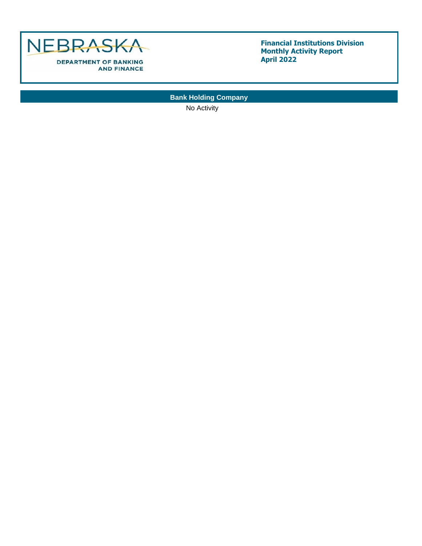

**Bank Holding Company**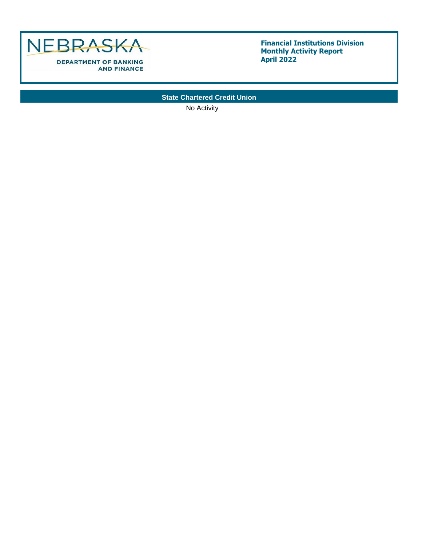

**State Chartered Credit Union**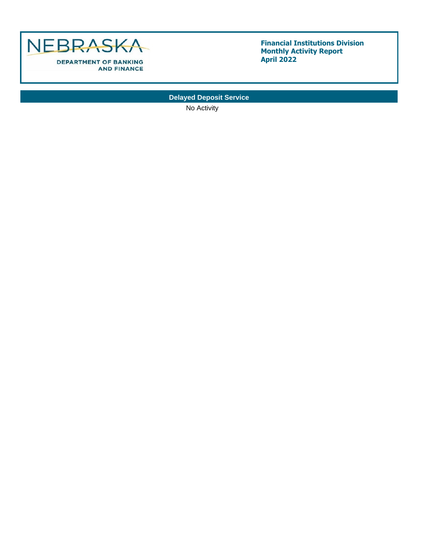

**Delayed Deposit Service**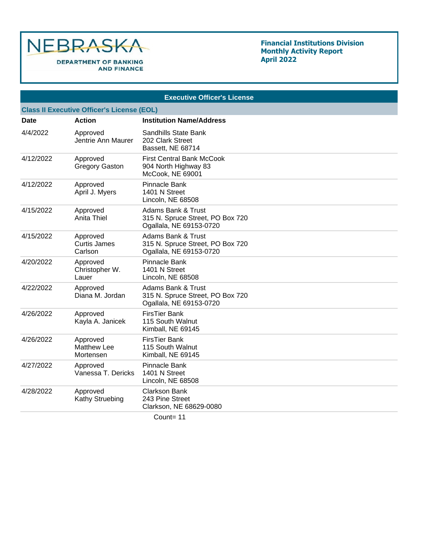

## **Financial Institutions Division Monthly Activity Report April 2022**

|                                                   | <b>Executive Officer's License</b>          |                                                                                              |  |  |  |  |
|---------------------------------------------------|---------------------------------------------|----------------------------------------------------------------------------------------------|--|--|--|--|
| <b>Class II Executive Officer's License (EOL)</b> |                                             |                                                                                              |  |  |  |  |
| Date                                              | <b>Action</b>                               | <b>Institution Name/Address</b>                                                              |  |  |  |  |
| 4/4/2022                                          | Approved<br>Jentrie Ann Maurer              | Sandhills State Bank<br>202 Clark Street<br>Bassett, NE 68714                                |  |  |  |  |
| 4/12/2022                                         | Approved<br><b>Gregory Gaston</b>           | <b>First Central Bank McCook</b><br>904 North Highway 83<br>McCook, NE 69001                 |  |  |  |  |
| 4/12/2022                                         | Approved<br>April J. Myers                  | Pinnacle Bank<br>1401 N Street<br>Lincoln, NE 68508                                          |  |  |  |  |
| 4/15/2022                                         | Approved<br>Anita Thiel                     | <b>Adams Bank &amp; Trust</b><br>315 N. Spruce Street, PO Box 720<br>Ogallala, NE 69153-0720 |  |  |  |  |
| 4/15/2022                                         | Approved<br><b>Curtis James</b><br>Carlson  | <b>Adams Bank &amp; Trust</b><br>315 N. Spruce Street, PO Box 720<br>Ogallala, NE 69153-0720 |  |  |  |  |
| 4/20/2022                                         | Approved<br>Christopher W.<br>Lauer         | Pinnacle Bank<br>1401 N Street<br>Lincoln, NE 68508                                          |  |  |  |  |
| 4/22/2022                                         | Approved<br>Diana M. Jordan                 | <b>Adams Bank &amp; Trust</b><br>315 N. Spruce Street, PO Box 720<br>Ogallala, NE 69153-0720 |  |  |  |  |
| 4/26/2022                                         | Approved<br>Kayla A. Janicek                | <b>FirsTier Bank</b><br>115 South Walnut<br>Kimball, NE 69145                                |  |  |  |  |
| 4/26/2022                                         | Approved<br><b>Matthew Lee</b><br>Mortensen | <b>FirsTier Bank</b><br>115 South Walnut<br>Kimball, NE 69145                                |  |  |  |  |
| 4/27/2022                                         | Approved<br>Vanessa T. Dericks              | Pinnacle Bank<br>1401 N Street<br>Lincoln, NE 68508                                          |  |  |  |  |
| 4/28/2022                                         | Approved<br>Kathy Struebing                 | <b>Clarkson Bank</b><br>243 Pine Street<br>Clarkson, NE 68629-0080                           |  |  |  |  |
|                                                   |                                             |                                                                                              |  |  |  |  |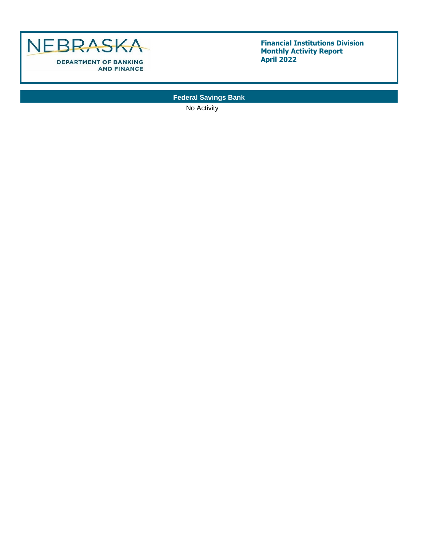

**Federal Savings Bank**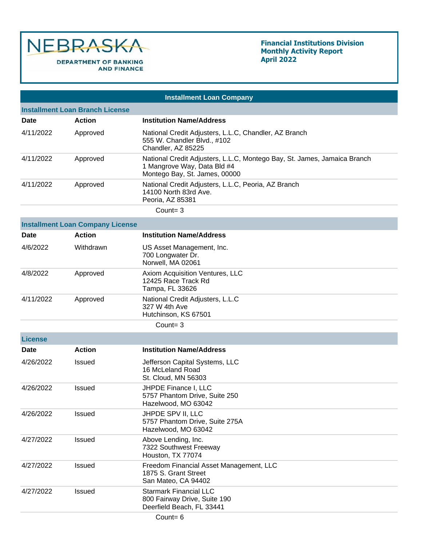

|                                        | <b>Installment Loan Company</b>         |                                                                                                                                          |  |  |  |  |
|----------------------------------------|-----------------------------------------|------------------------------------------------------------------------------------------------------------------------------------------|--|--|--|--|
| <b>Installment Loan Branch License</b> |                                         |                                                                                                                                          |  |  |  |  |
| Date                                   | Action                                  | <b>Institution Name/Address</b>                                                                                                          |  |  |  |  |
| 4/11/2022                              | Approved                                | National Credit Adjusters, L.L.C, Chandler, AZ Branch<br>555 W. Chandler Blvd., #102<br>Chandler, AZ 85225                               |  |  |  |  |
| 4/11/2022                              | Approved                                | National Credit Adjusters, L.L.C, Montego Bay, St. James, Jamaica Branch<br>1 Mangrove Way, Data Bld #4<br>Montego Bay, St. James, 00000 |  |  |  |  |
| 4/11/2022                              | Approved                                | National Credit Adjusters, L.L.C, Peoria, AZ Branch<br>14100 North 83rd Ave.<br>Peoria, AZ 85381                                         |  |  |  |  |
|                                        |                                         | Count= $3$                                                                                                                               |  |  |  |  |
|                                        | <b>Installment Loan Company License</b> |                                                                                                                                          |  |  |  |  |
| Date                                   | <b>Action</b>                           | <b>Institution Name/Address</b>                                                                                                          |  |  |  |  |
| 4/6/2022                               | Withdrawn                               | US Asset Management, Inc.<br>700 Longwater Dr.<br>Norwell, MA 02061                                                                      |  |  |  |  |
| 4/8/2022                               | Approved                                | Axiom Acquisition Ventures, LLC<br>12425 Race Track Rd<br>Tampa, FL 33626                                                                |  |  |  |  |
| 4/11/2022                              | Approved                                | National Credit Adjusters, L.L.C<br>327 W 4th Ave<br>Hutchinson, KS 67501                                                                |  |  |  |  |
|                                        |                                         | Count= $3$                                                                                                                               |  |  |  |  |
| <b>License</b>                         |                                         |                                                                                                                                          |  |  |  |  |
| Date                                   | <b>Action</b>                           | <b>Institution Name/Address</b>                                                                                                          |  |  |  |  |
| 4/26/2022                              | Issued                                  | Jefferson Capital Systems, LLC<br>16 McLeland Road<br>St. Cloud, MN 56303                                                                |  |  |  |  |
| 4/26/2022                              | <b>Issued</b>                           | JHPDE Finance I, LLC<br>5757 Phantom Drive, Suite 250<br>Hazelwood, MO 63042                                                             |  |  |  |  |
| 4/26/2022                              | Issued                                  | JHPDE SPV II, LLC<br>5757 Phantom Drive, Suite 275A<br>Hazelwood, MO 63042                                                               |  |  |  |  |
| 4/27/2022                              | Issued                                  | Above Lending, Inc.<br>7322 Southwest Freeway<br>Houston, TX 77074                                                                       |  |  |  |  |
| 4/27/2022                              | Issued                                  | Freedom Financial Asset Management, LLC<br>1875 S. Grant Street<br>San Mateo, CA 94402                                                   |  |  |  |  |
| 4/27/2022                              | Issued                                  | <b>Starmark Financial LLC</b><br>800 Fairway Drive, Suite 190<br>Deerfield Beach, FL 33441                                               |  |  |  |  |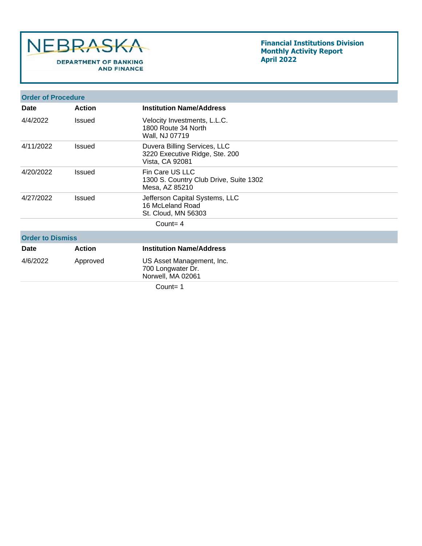

## **Financial Institutions Division Monthly Activity Report April 2022**

| <b>Order of Procedure</b> |               |                                                                                   |  |
|---------------------------|---------------|-----------------------------------------------------------------------------------|--|
| Date                      | <b>Action</b> | <b>Institution Name/Address</b>                                                   |  |
| 4/4/2022                  | <b>Issued</b> | Velocity Investments, L.L.C.<br>1800 Route 34 North<br>Wall, NJ 07719             |  |
| 4/11/2022                 | Issued        | Duvera Billing Services, LLC<br>3220 Executive Ridge, Ste. 200<br>Vista, CA 92081 |  |
| 4/20/2022                 | Issued        | Fin Care US LLC<br>1300 S. Country Club Drive, Suite 1302<br>Mesa, AZ 85210       |  |
| 4/27/2022                 | <b>Issued</b> | Jefferson Capital Systems, LLC<br>16 McLeland Road<br>St. Cloud, MN 56303         |  |
|                           |               | Count= $4$                                                                        |  |
| <b>Order to Dismiss</b>   |               |                                                                                   |  |
| <b>Date</b>               | <b>Action</b> | <b>Institution Name/Address</b>                                                   |  |
| 4/6/2022                  | Approved      | US Asset Management, Inc.<br>700 Longwater Dr.<br>Norwell, MA 02061               |  |
|                           |               | $C_{\text{O}1}$ nt - 1                                                            |  |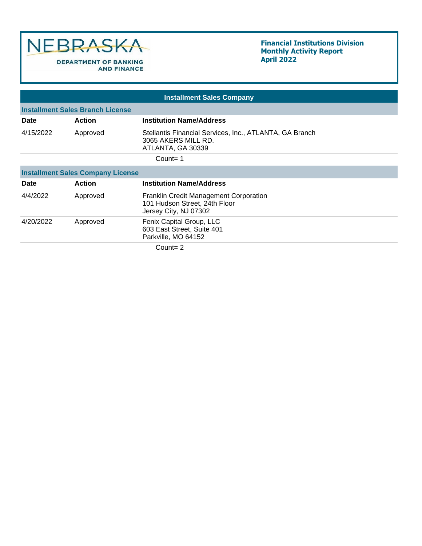

## **Financial Institutions Division Monthly Activity Report April 2022**

|             |                                          | <b>Installment Sales Company</b>                                                                        |  |  |  |
|-------------|------------------------------------------|---------------------------------------------------------------------------------------------------------|--|--|--|
|             | <b>Installment Sales Branch License</b>  |                                                                                                         |  |  |  |
| <b>Date</b> | <b>Action</b>                            | <b>Institution Name/Address</b>                                                                         |  |  |  |
| 4/15/2022   | Approved                                 | Stellantis Financial Services, Inc., ATLANTA, GA Branch<br>3065 AKERS MILL RD.<br>ATLANTA, GA 30339     |  |  |  |
|             |                                          | $Count = 1$                                                                                             |  |  |  |
|             | <b>Installment Sales Company License</b> |                                                                                                         |  |  |  |
| <b>Date</b> | <b>Action</b>                            | <b>Institution Name/Address</b>                                                                         |  |  |  |
| 4/4/2022    | Approved                                 | <b>Franklin Credit Management Corporation</b><br>101 Hudson Street, 24th Floor<br>Jersey City, NJ 07302 |  |  |  |
| 4/20/2022   | Approved                                 | Fenix Capital Group, LLC<br>603 East Street, Suite 401<br>Parkville, MO 64152                           |  |  |  |
|             |                                          | $C_{\Omega}$ unt $=$ 2                                                                                  |  |  |  |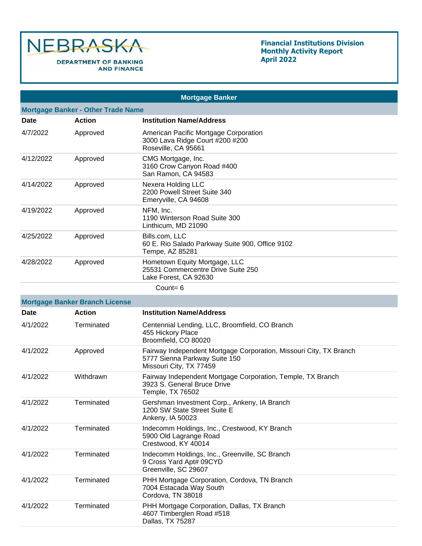

| <b>Mortgage Banker</b>                    |                                       |                                                                                                                                |  |  |
|-------------------------------------------|---------------------------------------|--------------------------------------------------------------------------------------------------------------------------------|--|--|
| <b>Mortgage Banker - Other Trade Name</b> |                                       |                                                                                                                                |  |  |
| <b>Date</b>                               | <b>Action</b>                         | <b>Institution Name/Address</b>                                                                                                |  |  |
| 4/7/2022                                  | Approved                              | American Pacific Mortgage Corporation<br>3000 Lava Ridge Court #200 #200<br>Roseville, CA 95661                                |  |  |
| 4/12/2022                                 | Approved                              | CMG Mortgage, Inc.<br>3160 Crow Canyon Road #400<br>San Ramon, CA 94583                                                        |  |  |
| 4/14/2022                                 | Approved                              | Nexera Holding LLC<br>2200 Powell Street Suite 340<br>Emeryville, CA 94608                                                     |  |  |
| 4/19/2022                                 | Approved                              | NFM, Inc.<br>1190 Winterson Road Suite 300<br>Linthicum, MD 21090                                                              |  |  |
| 4/25/2022                                 | Approved                              | Bills.com, LLC<br>60 E. Rio Salado Parkway Suite 900, Office 9102<br>Tempe, AZ 85281                                           |  |  |
| 4/28/2022                                 | Approved                              | Hometown Equity Mortgage, LLC<br>25531 Commercentre Drive Suite 250<br>Lake Forest, CA 92630                                   |  |  |
|                                           |                                       | Count= $6$                                                                                                                     |  |  |
|                                           | <b>Mortgage Banker Branch License</b> |                                                                                                                                |  |  |
| <b>Date</b>                               | <b>Action</b>                         | <b>Institution Name/Address</b>                                                                                                |  |  |
| 4/1/2022                                  | Terminated                            | Centennial Lending, LLC, Broomfield, CO Branch<br>455 Hickory Place<br>Broomfield, CO 80020                                    |  |  |
| 4/1/2022                                  | Approved                              | Fairway Independent Mortgage Corporation, Missouri City, TX Branch<br>5777 Sienna Parkway Suite 150<br>Missouri City, TX 77459 |  |  |
| 4/1/2022                                  | Withdrawn                             | Fairway Independent Mortgage Corporation, Temple, TX Branch<br>3923 S. General Bruce Drive<br>Temple, TX 76502                 |  |  |
| 4/1/2022                                  | Terminated                            | Gershman Investment Corp., Ankeny, IA Branch<br>1200 SW State Street Suite E<br>Ankeny, IA 50023                               |  |  |
| 4/1/2022                                  | Terminated                            | Indecomm Holdings, Inc., Crestwood, KY Branch<br>5900 Old Lagrange Road<br>Crestwood, KY 40014                                 |  |  |
| 4/1/2022                                  | Terminated                            | Indecomm Holdings, Inc., Greenville, SC Branch<br>9 Cross Yard Apt# 09CYD<br>Greenville, SC 29607                              |  |  |
| 4/1/2022                                  | Terminated                            | PHH Mortgage Corporation, Cordova, TN Branch<br>7004 Estacada Way South<br>Cordova, TN 38018                                   |  |  |
| 4/1/2022                                  | Terminated                            | PHH Mortgage Corporation, Dallas, TX Branch<br>4607 Timberglen Road #518<br>Dallas, TX 75287                                   |  |  |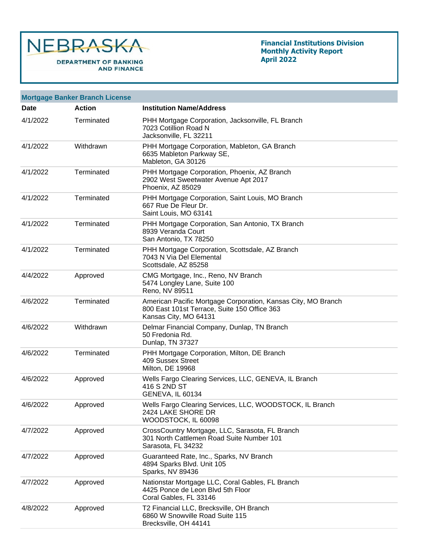

| <b>Mortgage Banker Branch License</b> |               |                                                                                                                                        |  |  |
|---------------------------------------|---------------|----------------------------------------------------------------------------------------------------------------------------------------|--|--|
| Date                                  | <b>Action</b> | <b>Institution Name/Address</b>                                                                                                        |  |  |
| 4/1/2022                              | Terminated    | PHH Mortgage Corporation, Jacksonville, FL Branch<br>7023 Cotillion Road N<br>Jacksonville, FL 32211                                   |  |  |
| 4/1/2022                              | Withdrawn     | PHH Mortgage Corporation, Mableton, GA Branch<br>6635 Mableton Parkway SE,<br>Mableton, GA 30126                                       |  |  |
| 4/1/2022                              | Terminated    | PHH Mortgage Corporation, Phoenix, AZ Branch<br>2902 West Sweetwater Avenue Apt 2017<br>Phoenix, AZ 85029                              |  |  |
| 4/1/2022                              | Terminated    | PHH Mortgage Corporation, Saint Louis, MO Branch<br>667 Rue De Fleur Dr.<br>Saint Louis, MO 63141                                      |  |  |
| 4/1/2022                              | Terminated    | PHH Mortgage Corporation, San Antonio, TX Branch<br>8939 Veranda Court<br>San Antonio, TX 78250                                        |  |  |
| 4/1/2022                              | Terminated    | PHH Mortgage Corporation, Scottsdale, AZ Branch<br>7043 N Via Del Elemental<br>Scottsdale, AZ 85258                                    |  |  |
| 4/4/2022                              | Approved      | CMG Mortgage, Inc., Reno, NV Branch<br>5474 Longley Lane, Suite 100<br>Reno, NV 89511                                                  |  |  |
| 4/6/2022                              | Terminated    | American Pacific Mortgage Corporation, Kansas City, MO Branch<br>800 East 101st Terrace, Suite 150 Office 363<br>Kansas City, MO 64131 |  |  |
| 4/6/2022                              | Withdrawn     | Delmar Financial Company, Dunlap, TN Branch<br>50 Fredonia Rd.<br>Dunlap, TN 37327                                                     |  |  |
| 4/6/2022                              | Terminated    | PHH Mortgage Corporation, Milton, DE Branch<br>409 Sussex Street<br>Milton, DE 19968                                                   |  |  |
| 4/6/2022                              | Approved      | Wells Fargo Clearing Services, LLC, GENEVA, IL Branch<br>416 S 2ND ST<br><b>GENEVA, IL 60134</b>                                       |  |  |
| 4/6/2022                              | Approved      | Wells Fargo Clearing Services, LLC, WOODSTOCK, IL Branch<br>2424 LAKE SHORE DR<br>WOODSTOCK, IL 60098                                  |  |  |
| 4/7/2022                              | Approved      | CrossCountry Mortgage, LLC, Sarasota, FL Branch<br>301 North Cattlemen Road Suite Number 101<br>Sarasota, FL 34232                     |  |  |
| 4/7/2022                              | Approved      | Guaranteed Rate, Inc., Sparks, NV Branch<br>4894 Sparks Blvd. Unit 105<br>Sparks, NV 89436                                             |  |  |
| 4/7/2022                              | Approved      | Nationstar Mortgage LLC, Coral Gables, FL Branch<br>4425 Ponce de Leon Blvd 5th Floor<br>Coral Gables, FL 33146                        |  |  |
| 4/8/2022                              | Approved      | T2 Financial LLC, Brecksville, OH Branch<br>6860 W Snowville Road Suite 115<br>Brecksville, OH 44141                                   |  |  |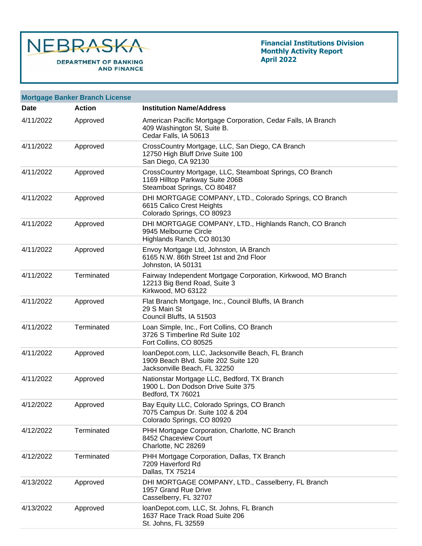

| <b>Mortgage Banker Branch License</b> |               |                                                                                                                            |  |  |
|---------------------------------------|---------------|----------------------------------------------------------------------------------------------------------------------------|--|--|
| Date                                  | <b>Action</b> | <b>Institution Name/Address</b>                                                                                            |  |  |
| 4/11/2022                             | Approved      | American Pacific Mortgage Corporation, Cedar Falls, IA Branch<br>409 Washington St, Suite B.<br>Cedar Falls, IA 50613      |  |  |
| 4/11/2022                             | Approved      | CrossCountry Mortgage, LLC, San Diego, CA Branch<br>12750 High Bluff Drive Suite 100<br>San Diego, CA 92130                |  |  |
| 4/11/2022                             | Approved      | CrossCountry Mortgage, LLC, Steamboat Springs, CO Branch<br>1169 Hilltop Parkway Suite 206B<br>Steamboat Springs, CO 80487 |  |  |
| 4/11/2022                             | Approved      | DHI MORTGAGE COMPANY, LTD., Colorado Springs, CO Branch<br>6615 Calico Crest Heights<br>Colorado Springs, CO 80923         |  |  |
| 4/11/2022                             | Approved      | DHI MORTGAGE COMPANY, LTD., Highlands Ranch, CO Branch<br>9945 Melbourne Circle<br>Highlands Ranch, CO 80130               |  |  |
| 4/11/2022                             | Approved      | Envoy Mortgage Ltd, Johnston, IA Branch<br>6165 N.W. 86th Street 1st and 2nd Floor<br>Johnston, IA 50131                   |  |  |
| 4/11/2022                             | Terminated    | Fairway Independent Mortgage Corporation, Kirkwood, MO Branch<br>12213 Big Bend Road, Suite 3<br>Kirkwood, MO 63122        |  |  |
| 4/11/2022                             | Approved      | Flat Branch Mortgage, Inc., Council Bluffs, IA Branch<br>29 S Main St<br>Council Bluffs, IA 51503                          |  |  |
| 4/11/2022                             | Terminated    | Loan Simple, Inc., Fort Collins, CO Branch<br>3726 S Timberline Rd Suite 102<br>Fort Collins, CO 80525                     |  |  |
| 4/11/2022                             | Approved      | IoanDepot.com, LLC, Jacksonville Beach, FL Branch<br>1909 Beach Blvd. Suite 202 Suite 120<br>Jacksonville Beach, FL 32250  |  |  |
| 4/11/2022                             | Approved      | Nationstar Mortgage LLC, Bedford, TX Branch<br>1900 L. Don Dodson Drive Suite 375<br>Bedford, TX 76021                     |  |  |
| 4/12/2022                             | Approved      | Bay Equity LLC, Colorado Springs, CO Branch<br>7075 Campus Dr. Suite 102 & 204<br>Colorado Springs, CO 80920               |  |  |
| 4/12/2022                             | Terminated    | PHH Mortgage Corporation, Charlotte, NC Branch<br>8452 Chaceview Court<br>Charlotte, NC 28269                              |  |  |
| 4/12/2022                             | Terminated    | PHH Mortgage Corporation, Dallas, TX Branch<br>7209 Haverford Rd<br>Dallas, TX 75214                                       |  |  |
| 4/13/2022                             | Approved      | DHI MORTGAGE COMPANY, LTD., Casselberry, FL Branch<br>1957 Grand Rue Drive<br>Casselberry, FL 32707                        |  |  |
| 4/13/2022                             | Approved      | IoanDepot.com, LLC, St. Johns, FL Branch<br>1637 Race Track Road Suite 206<br>St. Johns, FL 32559                          |  |  |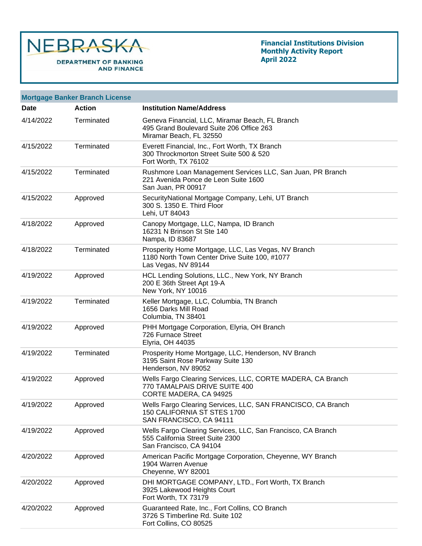

|           | <b>Mortgage Banker Branch License</b> |                                                                                                                             |
|-----------|---------------------------------------|-----------------------------------------------------------------------------------------------------------------------------|
| Date      | <b>Action</b>                         | <b>Institution Name/Address</b>                                                                                             |
| 4/14/2022 | Terminated                            | Geneva Financial, LLC, Miramar Beach, FL Branch<br>495 Grand Boulevard Suite 206 Office 263<br>Miramar Beach, FL 32550      |
| 4/15/2022 | Terminated                            | Everett Financial, Inc., Fort Worth, TX Branch<br>300 Throckmorton Street Suite 500 & 520<br>Fort Worth, TX 76102           |
| 4/15/2022 | Terminated                            | Rushmore Loan Management Services LLC, San Juan, PR Branch<br>221 Avenida Ponce de Leon Suite 1600<br>San Juan, PR 00917    |
| 4/15/2022 | Approved                              | SecurityNational Mortgage Company, Lehi, UT Branch<br>300 S. 1350 E. Third Floor<br>Lehi, UT 84043                          |
| 4/18/2022 | Approved                              | Canopy Mortgage, LLC, Nampa, ID Branch<br>16231 N Brinson St Ste 140<br>Nampa, ID 83687                                     |
| 4/18/2022 | Terminated                            | Prosperity Home Mortgage, LLC, Las Vegas, NV Branch<br>1180 North Town Center Drive Suite 100, #1077<br>Las Vegas, NV 89144 |
| 4/19/2022 | Approved                              | HCL Lending Solutions, LLC., New York, NY Branch<br>200 E 36th Street Apt 19-A<br>New York, NY 10016                        |
| 4/19/2022 | Terminated                            | Keller Mortgage, LLC, Columbia, TN Branch<br>1656 Darks Mill Road<br>Columbia, TN 38401                                     |
| 4/19/2022 | Approved                              | PHH Mortgage Corporation, Elyria, OH Branch<br>726 Furnace Street<br><b>Elyria, OH 44035</b>                                |
| 4/19/2022 | Terminated                            | Prosperity Home Mortgage, LLC, Henderson, NV Branch<br>3195 Saint Rose Parkway Suite 130<br>Henderson, NV 89052             |
| 4/19/2022 | Approved                              | Wells Fargo Clearing Services, LLC, CORTE MADERA, CA Branch<br>770 TAMALPAIS DRIVE SUITE 400<br>CORTE MADERA, CA 94925      |
| 4/19/2022 | Approved                              | Wells Fargo Clearing Services, LLC, SAN FRANCISCO, CA Branch<br>150 CALIFORNIA ST STES 1700<br>SAN FRANCISCO, CA 94111      |
| 4/19/2022 | Approved                              | Wells Fargo Clearing Services, LLC, San Francisco, CA Branch<br>555 California Street Suite 2300<br>San Francisco, CA 94104 |
| 4/20/2022 | Approved                              | American Pacific Mortgage Corporation, Cheyenne, WY Branch<br>1904 Warren Avenue<br>Cheyenne, WY 82001                      |
| 4/20/2022 | Approved                              | DHI MORTGAGE COMPANY, LTD., Fort Worth, TX Branch<br>3925 Lakewood Heights Court<br>Fort Worth, TX 73179                    |
| 4/20/2022 | Approved                              | Guaranteed Rate, Inc., Fort Collins, CO Branch<br>3726 S Timberline Rd. Suite 102<br>Fort Collins, CO 80525                 |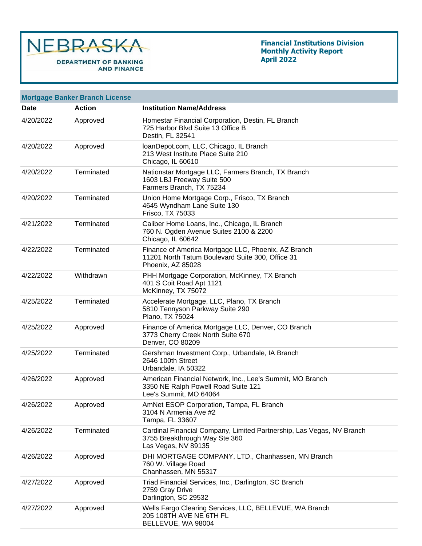

|           | <b>Mortgage Banker Branch License</b> |                                                                                                                               |
|-----------|---------------------------------------|-------------------------------------------------------------------------------------------------------------------------------|
| Date      | <b>Action</b>                         | <b>Institution Name/Address</b>                                                                                               |
| 4/20/2022 | Approved                              | Homestar Financial Corporation, Destin, FL Branch<br>725 Harbor Blvd Suite 13 Office B<br>Destin, FL 32541                    |
| 4/20/2022 | Approved                              | IoanDepot.com, LLC, Chicago, IL Branch<br>213 West Institute Place Suite 210<br>Chicago, IL 60610                             |
| 4/20/2022 | Terminated                            | Nationstar Mortgage LLC, Farmers Branch, TX Branch<br>1603 LBJ Freeway Suite 500<br>Farmers Branch, TX 75234                  |
| 4/20/2022 | Terminated                            | Union Home Mortgage Corp., Frisco, TX Branch<br>4645 Wyndham Lane Suite 130<br>Frisco, TX 75033                               |
| 4/21/2022 | Terminated                            | Caliber Home Loans, Inc., Chicago, IL Branch<br>760 N. Ogden Avenue Suites 2100 & 2200<br>Chicago, IL 60642                   |
| 4/22/2022 | Terminated                            | Finance of America Mortgage LLC, Phoenix, AZ Branch<br>11201 North Tatum Boulevard Suite 300, Office 31<br>Phoenix, AZ 85028  |
| 4/22/2022 | Withdrawn                             | PHH Mortgage Corporation, McKinney, TX Branch<br>401 S Coit Road Apt 1121<br>McKinney, TX 75072                               |
| 4/25/2022 | Terminated                            | Accelerate Mortgage, LLC, Plano, TX Branch<br>5810 Tennyson Parkway Suite 290<br>Plano, TX 75024                              |
| 4/25/2022 | Approved                              | Finance of America Mortgage LLC, Denver, CO Branch<br>3773 Cherry Creek North Suite 670<br>Denver, CO 80209                   |
| 4/25/2022 | Terminated                            | Gershman Investment Corp., Urbandale, IA Branch<br>2646 100th Street<br>Urbandale, IA 50322                                   |
| 4/26/2022 | Approved                              | American Financial Network, Inc., Lee's Summit, MO Branch<br>3350 NE Ralph Powell Road Suite 121<br>Lee's Summit, MO 64064    |
| 4/26/2022 | Approved                              | AmNet ESOP Corporation, Tampa, FL Branch<br>3104 N Armenia Ave #2<br>Tampa, FL 33607                                          |
| 4/26/2022 | Terminated                            | Cardinal Financial Company, Limited Partnership, Las Vegas, NV Branch<br>3755 Breakthrough Way Ste 360<br>Las Vegas, NV 89135 |
| 4/26/2022 | Approved                              | DHI MORTGAGE COMPANY, LTD., Chanhassen, MN Branch<br>760 W. Village Road<br>Chanhassen, MN 55317                              |
| 4/27/2022 | Approved                              | Triad Financial Services, Inc., Darlington, SC Branch<br>2759 Gray Drive<br>Darlington, SC 29532                              |
| 4/27/2022 | Approved                              | Wells Fargo Clearing Services, LLC, BELLEVUE, WA Branch<br>205 108TH AVE NE 6TH FL<br>BELLEVUE, WA 98004                      |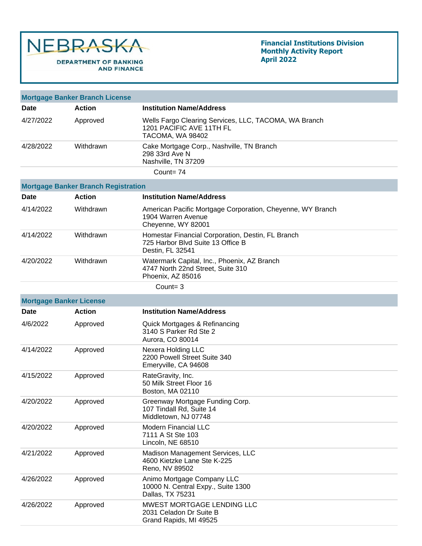

|                                | <b>Mortgage Banker Branch License</b>      |                                                                                                            |
|--------------------------------|--------------------------------------------|------------------------------------------------------------------------------------------------------------|
| Date                           | <b>Action</b>                              | <b>Institution Name/Address</b>                                                                            |
| 4/27/2022                      | Approved                                   | Wells Fargo Clearing Services, LLC, TACOMA, WA Branch<br>1201 PACIFIC AVE 11TH FL<br>TACOMA, WA 98402      |
| 4/28/2022                      | Withdrawn                                  | Cake Mortgage Corp., Nashville, TN Branch<br>298 33rd Ave N<br>Nashville, TN 37209                         |
|                                |                                            | $Count = 74$                                                                                               |
|                                | <b>Mortgage Banker Branch Registration</b> |                                                                                                            |
| Date                           | <b>Action</b>                              | <b>Institution Name/Address</b>                                                                            |
| 4/14/2022                      | Withdrawn                                  | American Pacific Mortgage Corporation, Cheyenne, WY Branch<br>1904 Warren Avenue<br>Cheyenne, WY 82001     |
| 4/14/2022                      | Withdrawn                                  | Homestar Financial Corporation, Destin, FL Branch<br>725 Harbor Blvd Suite 13 Office B<br>Destin, FL 32541 |
| 4/20/2022                      | Withdrawn                                  | Watermark Capital, Inc., Phoenix, AZ Branch<br>4747 North 22nd Street, Suite 310<br>Phoenix, AZ 85016      |
|                                |                                            | Count= $3$                                                                                                 |
| <b>Mortgage Banker License</b> |                                            |                                                                                                            |
|                                |                                            |                                                                                                            |
| Date                           | <b>Action</b>                              | <b>Institution Name/Address</b>                                                                            |
| 4/6/2022                       | Approved                                   | Quick Mortgages & Refinancing<br>3140 S Parker Rd Ste 2<br>Aurora, CO 80014                                |
| 4/14/2022                      | Approved                                   | Nexera Holding LLC<br>2200 Powell Street Suite 340<br>Emeryville, CA 94608                                 |
| 4/15/2022                      | Approved                                   | RateGravity, Inc.<br>50 Milk Street Floor 16<br>Boston, MA 02110                                           |
| 4/20/2022                      | Approved                                   | Greenway Mortgage Funding Corp.<br>107 Tindall Rd, Suite 14<br>Middletown, NJ 07748                        |
| 4/20/2022                      | Approved                                   | <b>Modern Financial LLC</b><br>7111 A St Ste 103<br>Lincoln, NE 68510                                      |
| 4/21/2022                      | Approved                                   | Madison Management Services, LLC<br>4600 Kietzke Lane Ste K-225<br>Reno, NV 89502                          |
| 4/26/2022                      | Approved                                   | Animo Mortgage Company LLC<br>10000 N. Central Expy., Suite 1300<br>Dallas, TX 75231                       |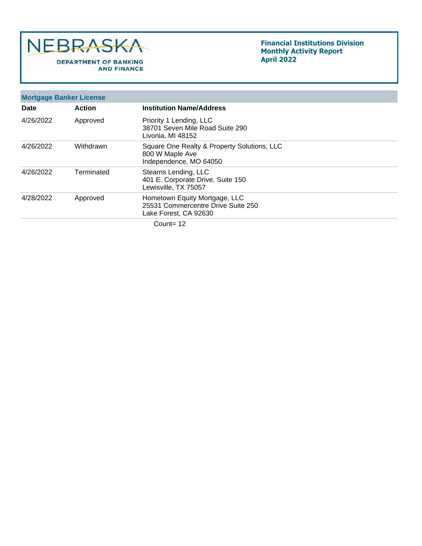

|           | <b>Mortgage Banker License</b> |                                                                                              |
|-----------|--------------------------------|----------------------------------------------------------------------------------------------|
| Date      | <b>Action</b>                  | <b>Institution Name/Address</b>                                                              |
| 4/26/2022 | Approved                       | Priority 1 Lending, LLC<br>38701 Seven Mile Road Suite 290<br>Livonia, MI 48152              |
| 4/26/2022 | Withdrawn                      | Square One Realty & Property Solutions, LLC<br>800 W Maple Ave<br>Independence, MO 64050     |
| 4/26/2022 | Terminated                     | Stearns Lending, LLC<br>401 E. Corporate Drive, Suite 150<br>Lewisville, TX 75057            |
| 4/28/2022 | Approved                       | Hometown Equity Mortgage, LLC<br>25531 Commercentre Drive Suite 250<br>Lake Forest, CA 92630 |
|           |                                | Count= $12$                                                                                  |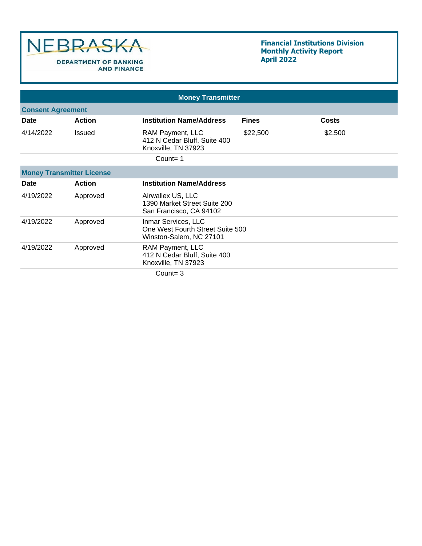

## **Financial Institutions Division Monthly Activity Report April 2022**

|             |                                  | <b>Money Transmitter</b>                                                           |              |              |  |  |
|-------------|----------------------------------|------------------------------------------------------------------------------------|--------------|--------------|--|--|
|             | <b>Consent Agreement</b>         |                                                                                    |              |              |  |  |
| <b>Date</b> | <b>Action</b>                    | <b>Institution Name/Address</b>                                                    | <b>Fines</b> | <b>Costs</b> |  |  |
| 4/14/2022   | <b>Issued</b>                    | RAM Payment, LLC<br>412 N Cedar Bluff, Suite 400<br>Knoxville, TN 37923            | \$22,500     | \$2,500      |  |  |
|             |                                  | Count=1                                                                            |              |              |  |  |
|             | <b>Money Transmitter License</b> |                                                                                    |              |              |  |  |
| Date        | <b>Action</b>                    | <b>Institution Name/Address</b>                                                    |              |              |  |  |
| 4/19/2022   | Approved                         | Airwallex US, LLC<br>1390 Market Street Suite 200<br>San Francisco, CA 94102       |              |              |  |  |
| 4/19/2022   | Approved                         | Inmar Services, LLC<br>One West Fourth Street Suite 500<br>Winston-Salem, NC 27101 |              |              |  |  |
| 4/19/2022   | Approved                         | RAM Payment, LLC<br>412 N Cedar Bluff, Suite 400<br>Knoxville, TN 37923            |              |              |  |  |
|             |                                  | $C_{\text{OUP}}t - 2$                                                              |              |              |  |  |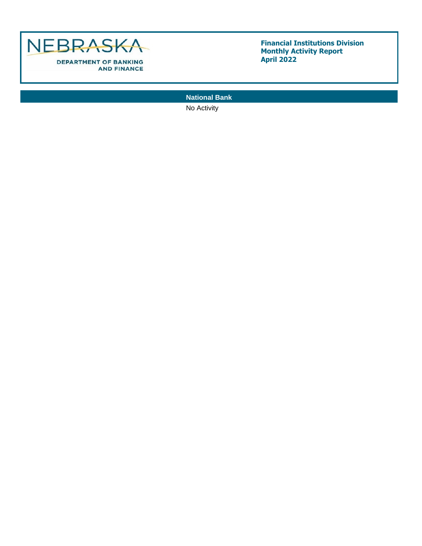

**National Bank**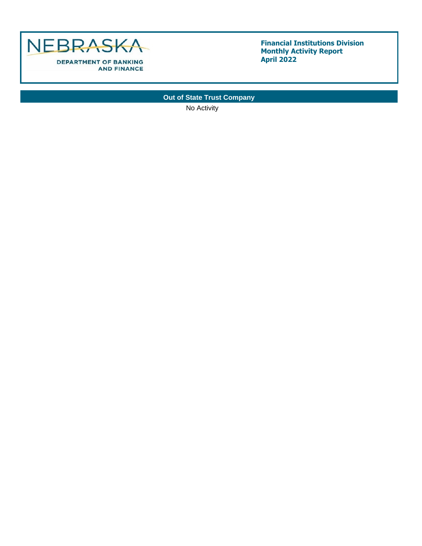

# **Out of State Trust Company**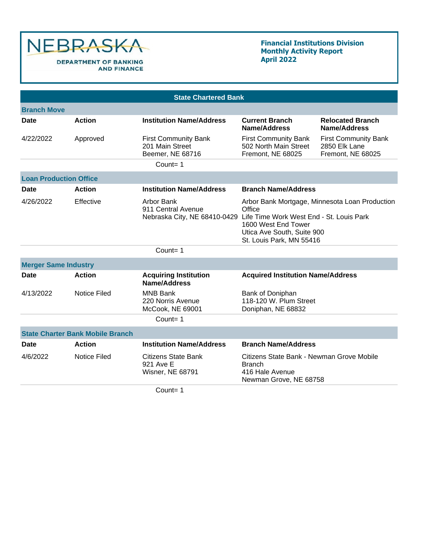

## **Financial Institutions Division Monthly Activity Report April 2022**

| <b>State Chartered Bank</b>   |                                         |                                                                                               |                                                                                                                                                                                                                    |                                                                   |  |  |  |  |
|-------------------------------|-----------------------------------------|-----------------------------------------------------------------------------------------------|--------------------------------------------------------------------------------------------------------------------------------------------------------------------------------------------------------------------|-------------------------------------------------------------------|--|--|--|--|
| <b>Branch Move</b>            |                                         |                                                                                               |                                                                                                                                                                                                                    |                                                                   |  |  |  |  |
| Date                          | <b>Action</b>                           | <b>Institution Name/Address</b>                                                               | <b>Current Branch</b><br>Name/Address                                                                                                                                                                              | <b>Relocated Branch</b><br>Name/Address                           |  |  |  |  |
| 4/22/2022                     | Approved                                | <b>First Community Bank</b><br>201 Main Street<br>Beemer, NE 68716                            | <b>First Community Bank</b><br>502 North Main Street<br>Fremont, NE 68025                                                                                                                                          | <b>First Community Bank</b><br>2850 Elk Lane<br>Fremont, NE 68025 |  |  |  |  |
|                               |                                         | Count= $1$                                                                                    |                                                                                                                                                                                                                    |                                                                   |  |  |  |  |
| <b>Loan Production Office</b> |                                         |                                                                                               |                                                                                                                                                                                                                    |                                                                   |  |  |  |  |
| Date                          | <b>Action</b>                           | <b>Institution Name/Address</b>                                                               | <b>Branch Name/Address</b>                                                                                                                                                                                         |                                                                   |  |  |  |  |
| 4/26/2022                     | Effective                               | Arbor Bank<br>911 Central Avenue                                                              | Arbor Bank Mortgage, Minnesota Loan Production<br>Office<br>Nebraska City, NE 68410-0429 Life Time Work West End - St. Louis Park<br>1600 West End Tower<br>Utica Ave South, Suite 900<br>St. Louis Park, MN 55416 |                                                                   |  |  |  |  |
|                               |                                         | $Count = 1$                                                                                   |                                                                                                                                                                                                                    |                                                                   |  |  |  |  |
| <b>Merger Same Industry</b>   |                                         |                                                                                               |                                                                                                                                                                                                                    |                                                                   |  |  |  |  |
| <b>Date</b>                   | <b>Action</b>                           | <b>Acquiring Institution</b><br><b>Name/Address</b>                                           | <b>Acquired Institution Name/Address</b>                                                                                                                                                                           |                                                                   |  |  |  |  |
| 4/13/2022                     | <b>Notice Filed</b>                     | <b>MNB Bank</b><br>220 Norris Avenue<br>McCook, NE 69001                                      | Bank of Doniphan<br>118-120 W. Plum Street<br>Doniphan, NE 68832                                                                                                                                                   |                                                                   |  |  |  |  |
|                               |                                         | Count=1                                                                                       |                                                                                                                                                                                                                    |                                                                   |  |  |  |  |
|                               | <b>State Charter Bank Mobile Branch</b> |                                                                                               |                                                                                                                                                                                                                    |                                                                   |  |  |  |  |
| Date                          | <b>Action</b>                           | <b>Institution Name/Address</b>                                                               | <b>Branch Name/Address</b>                                                                                                                                                                                         |                                                                   |  |  |  |  |
| 4/6/2022                      | <b>Notice Filed</b>                     | <b>Citizens State Bank</b><br>921 Ave E<br><b>Wisner, NE 68791</b><br>$C_{\text{O}1}$ nt $-1$ | Citizens State Bank - Newman Grove Mobile<br><b>Branch</b><br>416 Hale Avenue<br>Newman Grove, NE 68758                                                                                                            |                                                                   |  |  |  |  |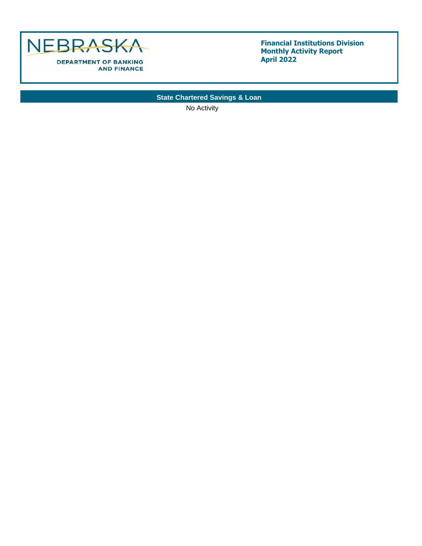

**State Chartered Savings & Loan**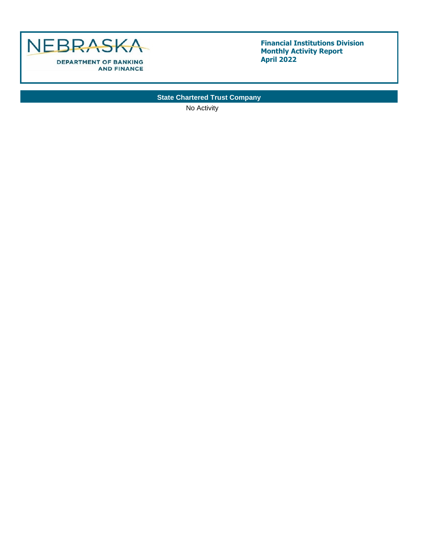

**State Chartered Trust Company**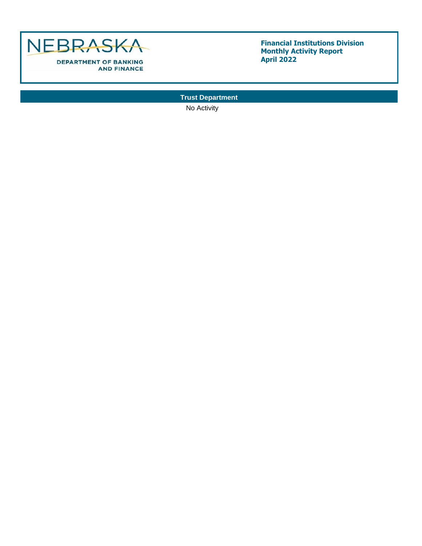

**Trust Department**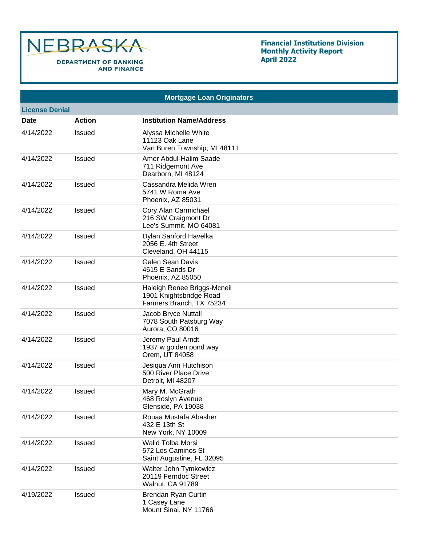

| <b>Mortgage Loan Originators</b> |               |                                                                                    |  |  |  |  |
|----------------------------------|---------------|------------------------------------------------------------------------------------|--|--|--|--|
| <b>License Denial</b>            |               |                                                                                    |  |  |  |  |
| <b>Date</b>                      | <b>Action</b> | <b>Institution Name/Address</b>                                                    |  |  |  |  |
| 4/14/2022                        | Issued        | Alyssa Michelle White<br>11123 Oak Lane<br>Van Buren Township, MI 48111            |  |  |  |  |
| 4/14/2022                        | Issued        | Amer Abdul-Halim Saade<br>711 Ridgemont Ave<br>Dearborn, MI 48124                  |  |  |  |  |
| 4/14/2022                        | Issued        | Cassandra Melida Wren<br>5741 W Roma Ave<br>Phoenix, AZ 85031                      |  |  |  |  |
| 4/14/2022                        | Issued        | Cory Alan Carmichael<br>216 SW Craigmont Dr<br>Lee's Summit, MO 64081              |  |  |  |  |
| 4/14/2022                        | Issued        | Dylan Sanford Havelka<br>2056 E. 4th Street<br>Cleveland, OH 44115                 |  |  |  |  |
| 4/14/2022                        | Issued        | <b>Galen Sean Davis</b><br>4615 E Sands Dr<br>Phoenix, AZ 85050                    |  |  |  |  |
| 4/14/2022                        | Issued        | Haleigh Renee Briggs-Mcneil<br>1901 Knightsbridge Road<br>Farmers Branch, TX 75234 |  |  |  |  |
| 4/14/2022                        | Issued        | Jacob Bryce Nuttall<br>7078 South Patsburg Way<br>Aurora, CO 80016                 |  |  |  |  |
| 4/14/2022                        | Issued        | Jeremy Paul Arndt<br>1937 w golden pond way<br>Orem, UT 84058                      |  |  |  |  |
| 4/14/2022                        | Issued        | Jesiqua Ann Hutchison<br>500 River Place Drive<br>Detroit, MI 48207                |  |  |  |  |
| 4/14/2022                        | Issued        | Mary M. McGrath<br>468 Roslyn Avenue<br>Glenside, PA 19038                         |  |  |  |  |
| 4/14/2022                        | Issued        | Rouaa Mustafa Abasher<br>432 E 13th St<br>New York, NY 10009                       |  |  |  |  |
| 4/14/2022                        | Issued        | Walid Tolba Morsi<br>572 Los Caminos St<br>Saint Augustine, FL 32095               |  |  |  |  |
| 4/14/2022                        | Issued        | Walter John Tymkowicz<br>20119 Ferndoc Street<br><b>Walnut, CA 91789</b>           |  |  |  |  |
| 4/19/2022                        | Issued        | Brendan Ryan Curtin<br>1 Casey Lane<br>Mount Sinai, NY 11766                       |  |  |  |  |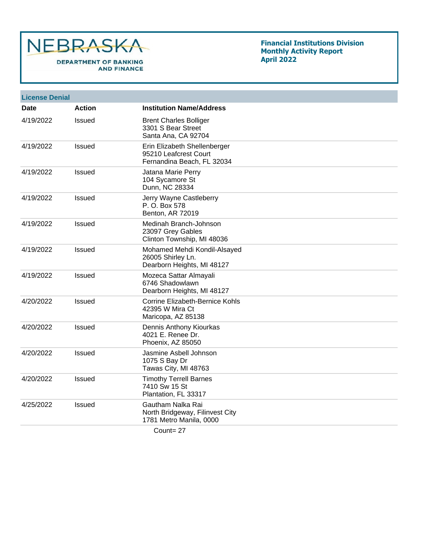

## **Financial Institutions Division Monthly Activity Report April 2022**

| <b>License Denial</b> |               |                                                                                     |
|-----------------------|---------------|-------------------------------------------------------------------------------------|
| Date                  | <b>Action</b> | <b>Institution Name/Address</b>                                                     |
| 4/19/2022             | Issued        | <b>Brent Charles Bolliger</b><br>3301 S Bear Street<br>Santa Ana, CA 92704          |
| 4/19/2022             | Issued        | Erin Elizabeth Shellenberger<br>95210 Leafcrest Court<br>Fernandina Beach, FL 32034 |
| 4/19/2022             | <b>Issued</b> | Jatana Marie Perry<br>104 Sycamore St<br>Dunn, NC 28334                             |
| 4/19/2022             | Issued        | Jerry Wayne Castleberry<br>P. O. Box 578<br>Benton, AR 72019                        |
| 4/19/2022             | <b>Issued</b> | Medinah Branch-Johnson<br>23097 Grey Gables<br>Clinton Township, MI 48036           |
| 4/19/2022             | <b>Issued</b> | Mohamed Mehdi Kondil-Alsayed<br>26005 Shirley Ln.<br>Dearborn Heights, MI 48127     |
| 4/19/2022             | Issued        | Mozeca Sattar Almayali<br>6746 Shadowlawn<br>Dearborn Heights, MI 48127             |
| 4/20/2022             | <b>Issued</b> | Corrine Elizabeth-Bernice Kohls<br>42395 W Mira Ct<br>Maricopa, AZ 85138            |
| 4/20/2022             | <b>Issued</b> | Dennis Anthony Kiourkas<br>4021 E. Renee Dr.<br>Phoenix, AZ 85050                   |
| 4/20/2022             | <b>Issued</b> | Jasmine Asbell Johnson<br>1075 S Bay Dr<br>Tawas City, MI 48763                     |
| 4/20/2022             | <b>Issued</b> | <b>Timothy Terrell Barnes</b><br>7410 Sw 15 St<br>Plantation, FL 33317              |
| 4/25/2022             | <b>Issued</b> | Gautham Nalka Rai<br>North Bridgeway, Filinvest City<br>1781 Metro Manila, 0000     |
|                       |               |                                                                                     |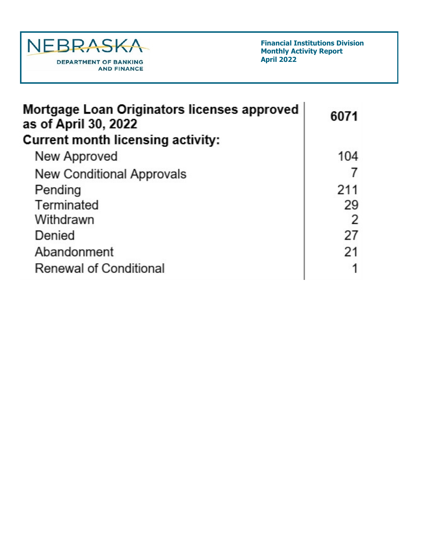

| Mortgage Loan Originators licenses approved<br>as of April 30, 2022 | 6071 |
|---------------------------------------------------------------------|------|
| Current month licensing activity:                                   |      |
| New Approved                                                        | 104  |
| <b>New Conditional Approvals</b>                                    |      |
| Pending                                                             | 211  |
| Terminated                                                          | 29   |
| Withdrawn                                                           | 2    |
| Denied                                                              | 27   |
| Abandonment                                                         | 21   |
| <b>Renewal of Conditional</b>                                       |      |